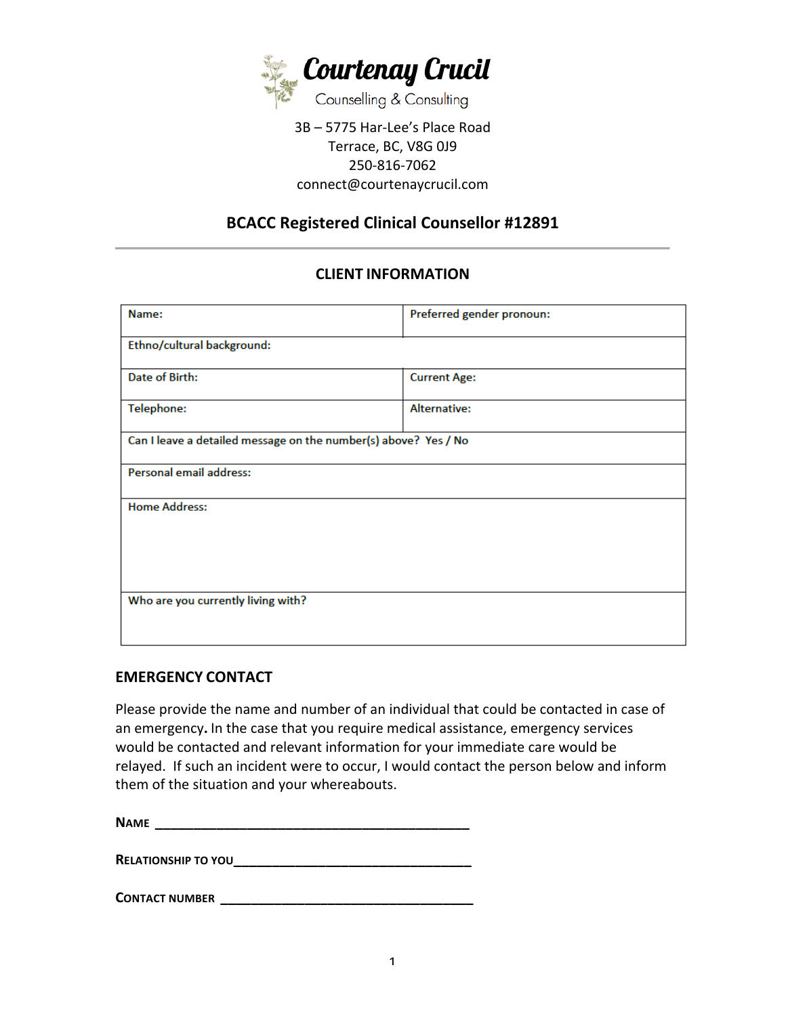

#### 3B - 5775 Har-Lee's Place Road Terrace, BC, V8G 0J9 250-816-7062 connect@courtenaycrucil.com

# **BCACC Registered Clinical Counsellor #12891**

# **CLIENT INFORMATION**

| Name:                                                           | Preferred gender pronoun: |
|-----------------------------------------------------------------|---------------------------|
| Ethno/cultural background:                                      |                           |
| Date of Birth:                                                  | <b>Current Age:</b>       |
| <b>Telephone:</b>                                               | Alternative:              |
| Can I leave a detailed message on the number(s) above? Yes / No |                           |
| Personal email address:                                         |                           |
| <b>Home Address:</b>                                            |                           |
|                                                                 |                           |
|                                                                 |                           |
| Who are you currently living with?                              |                           |
|                                                                 |                           |

#### **EMERGENCY CONTACT**

Please provide the name and number of an individual that could be contacted in case of an emergency. In the case that you require medical assistance, emergency services would be contacted and relevant information for your immediate care would be relayed. If such an incident were to occur, I would contact the person below and inform them of the situation and your whereabouts.

**N**AME

**RELATIONSHIP TO YOU\_\_\_\_\_\_\_\_\_\_\_\_\_\_\_\_\_\_\_\_\_\_\_\_\_\_\_\_\_\_\_**

**CONTACT NUMBER \_\_\_\_\_\_\_\_\_\_\_\_\_\_\_\_\_\_\_\_\_\_\_\_\_\_\_\_\_\_\_\_\_**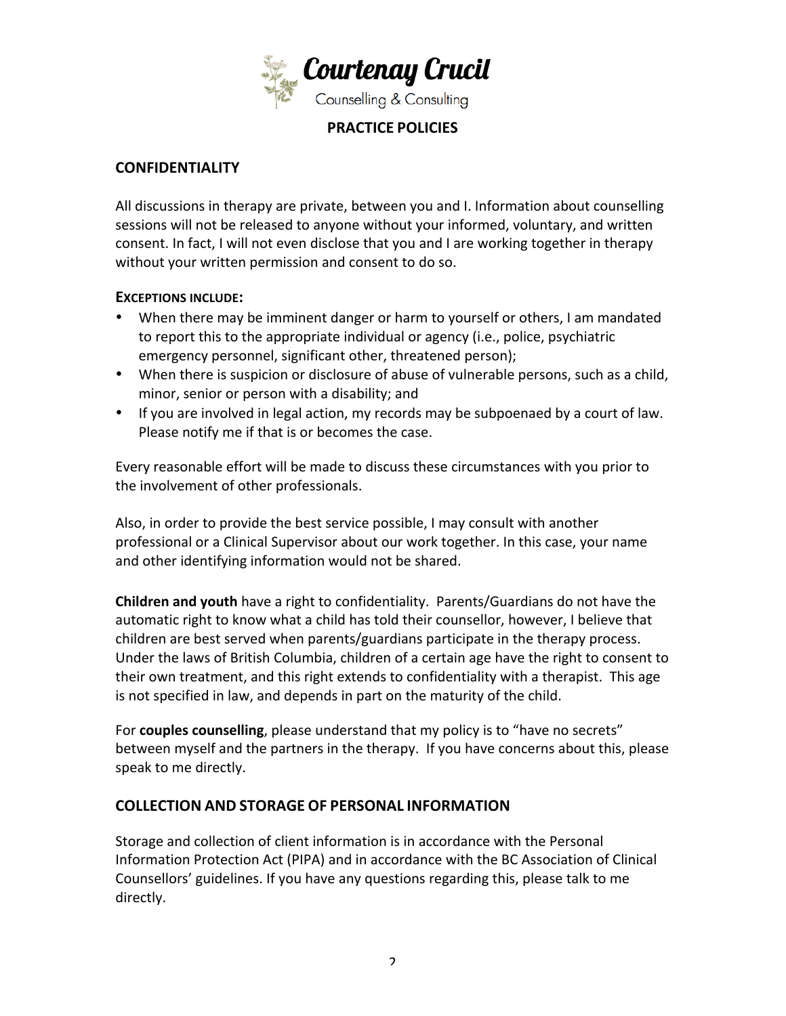

### **PRACTICE POLICIES**

## **CONFIDENTIALITY**

All discussions in therapy are private, between you and I. Information about counselling sessions will not be released to anyone without your informed, voluntary, and written consent. In fact, I will not even disclose that you and I are working together in therapy without your written permission and consent to do so.

#### **EXCEPTIONS INCLUDE:**

- When there may be imminent danger or harm to yourself or others, I am mandated to report this to the appropriate individual or agency (i.e., police, psychiatric emergency personnel, significant other, threatened person);
- When there is suspicion or disclosure of abuse of vulnerable persons, such as a child, minor, senior or person with a disability; and
- If you are involved in legal action, my records may be subpoenaed by a court of law. Please notify me if that is or becomes the case.

Every reasonable effort will be made to discuss these circumstances with you prior to the involvement of other professionals.

Also, in order to provide the best service possible, I may consult with another professional or a Clinical Supervisor about our work together. In this case, your name and other identifying information would not be shared.

**Children and youth** have a right to confidentiality. Parents/Guardians do not have the automatic right to know what a child has told their counsellor, however, I believe that children are best served when parents/guardians participate in the therapy process. Under the laws of British Columbia, children of a certain age have the right to consent to their own treatment, and this right extends to confidentiality with a therapist. This age is not specified in law, and depends in part on the maturity of the child.

For **couples counselling**, please understand that my policy is to "have no secrets" between myself and the partners in the therapy. If you have concerns about this, please speak to me directly.

#### **COLLECTION AND STORAGE OF PERSONAL INFORMATION**

Storage and collection of client information is in accordance with the Personal Information Protection Act (PIPA) and in accordance with the BC Association of Clinical Counsellors' guidelines. If you have any questions regarding this, please talk to me directly.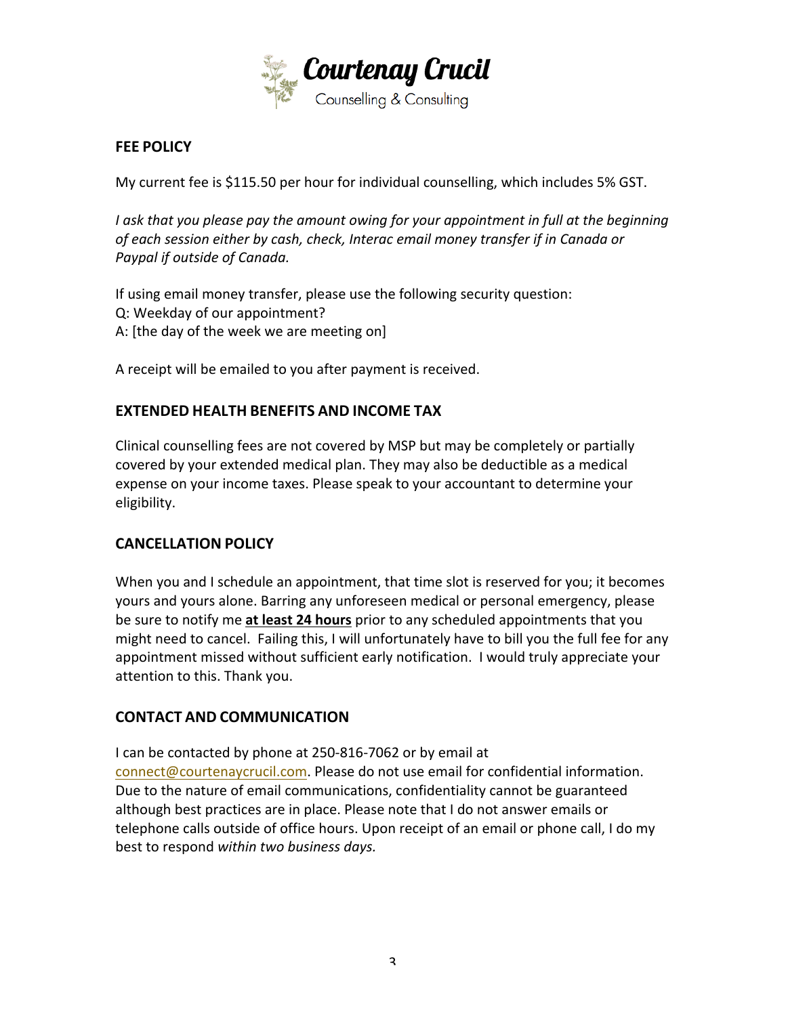

#### **FEE POLICY**

My current fee is \$115.50 per hour for individual counselling, which includes 5% GST.

I ask that you please pay the amount owing for your appointment in full at the beginning of each session either by cash, check, Interac email money transfer if in Canada or **Paypal if outside of Canada.** 

If using email money transfer, please use the following security question: Q: Weekday of our appointment? A: [the day of the week we are meeting on]

A receipt will be emailed to you after payment is received.

#### **EXTENDED HEALTH BENEFITS AND INCOME TAX**

Clinical counselling fees are not covered by MSP but may be completely or partially covered by your extended medical plan. They may also be deductible as a medical expense on your income taxes. Please speak to your accountant to determine your eligibility.

#### **CANCELLATION POLICY**

When you and I schedule an appointment, that time slot is reserved for you; it becomes yours and yours alone. Barring any unforeseen medical or personal emergency, please be sure to notify me at least 24 hours prior to any scheduled appointments that you might need to cancel. Failing this, I will unfortunately have to bill you the full fee for any appointment missed without sufficient early notification. I would truly appreciate your attention to this. Thank you.

#### **CONTACT AND COMMUNICATION**

I can be contacted by phone at 250-816-7062 or by email at connect@courtenaycrucil.com. Please do not use email for confidential information. Due to the nature of email communications, confidentiality cannot be guaranteed although best practices are in place. Please note that I do not answer emails or telephone calls outside of office hours. Upon receipt of an email or phone call, I do my best to respond within two business days.